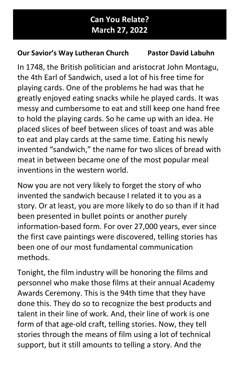## Our Savior's Way Lutheran Church Pastor David Labuhn

In 1748, the British politician and aristocrat John Montagu, the 4th Earl of Sandwich, used a lot of his free time for playing cards. One of the problems he had was that he greatly enjoyed eating snacks while he played cards. It was messy and cumbersome to eat and still keep one hand free to hold the playing cards. So he came up with an idea. He placed slices of beef between slices of toast and was able to eat and play cards at the same time. Eating his newly invented "sandwich," the name for two slices of bread with meat in between became one of the most popular meal inventions in the western world.

Now you are not very likely to forget the story of who invented the sandwich because I related it to you as a story. Or at least, you are more likely to do so than if it had been presented in bullet points or another purely information-based form. For over 27,000 years, ever since the first cave paintings were discovered, telling stories has been one of our most fundamental communication methods.

Tonight, the film industry will be honoring the films and personnel who make those films at their annual Academy Awards Ceremony. This is the 94th time that they have done this. They do so to recognize the best products and talent in their line of work. And, their line of work is one form of that age-old craft, telling stories. Now, they tell stories through the means of film using a lot of technical support, but it still amounts to telling a story. And the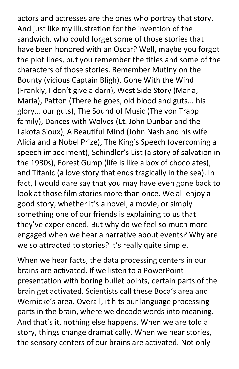actors and actresses are the ones who portray that story. And just like my illustration for the invention of the sandwich, who could forget some of those stories that have been honored with an Oscar? Well, maybe you forgot the plot lines, but you remember the titles and some of the characters of those stories. Remember Mutiny on the Bounty (vicious Captain Bligh), Gone With the Wind (Frankly, I don't give a darn), West Side Story (Maria, Maria), Patton (There he goes, old blood and guts... his glory... our guts), The Sound of Music (The von Trapp family), Dances with Wolves (Lt. John Dunbar and the Lakota Sioux), A Beautiful Mind (John Nash and his wife Alicia and a Nobel Prize), The King's Speech (overcoming a speech impediment), Schindler's List (a story of salvation in the 1930s), Forest Gump (life is like a box of chocolates), and Titanic (a love story that ends tragically in the sea). In fact, I would dare say that you may have even gone back to look at those film stories more than once. We all enjoy a good story, whether it's a novel, a movie, or simply something one of our friends is explaining to us that they've experienced. But why do we feel so much more engaged when we hear a narrative about events? Why are we so attracted to stories? It's really quite simple.

When we hear facts, the data processing centers in our brains are activated. If we listen to a PowerPoint presentation with boring bullet points, certain parts of the brain get activated. Scientists call these Boca's area and Wernicke's area. Overall, it hits our language processing parts in the brain, where we decode words into meaning. And that's it, nothing else happens. When we are told a story, things change dramatically. When we hear stories, the sensory centers of our brains are activated. Not only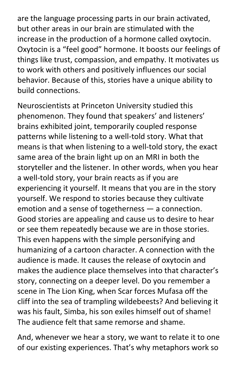are the language processing parts in our brain activated, but other areas in our brain are stimulated with the increase in the production of a hormone called oxytocin. Oxytocin is a "feel good" hormone. It boosts our feelings of things like trust, compassion, and empathy. It motivates us to work with others and positively influences our social behavior. Because of this, stories have a unique ability to build connections.

Neuroscientists at Princeton University studied this phenomenon. They found that speakers' and listeners' brains exhibited joint, temporarily coupled response patterns while listening to a well-told story. What that means is that when listening to a well-told story, the exact same area of the brain light up on an MRI in both the storyteller and the listener. In other words, when you hear a well-told story, your brain reacts as if you are experiencing it yourself. It means that you are in the story yourself. We respond to stories because they cultivate emotion and a sense of togetherness — a connection. Good stories are appealing and cause us to desire to hear or see them repeatedly because we are in those stories. This even happens with the simple personifying and humanizing of a cartoon character. A connection with the audience is made. It causes the release of oxytocin and makes the audience place themselves into that character's story, connecting on a deeper level. Do you remember a scene in The Lion King, when Scar forces Mufasa off the cliff into the sea of trampling wildebeests? And believing it was his fault, Simba, his son exiles himself out of shame! The audience felt that same remorse and shame.

And, whenever we hear a story, we want to relate it to one of our existing experiences. That's why metaphors work so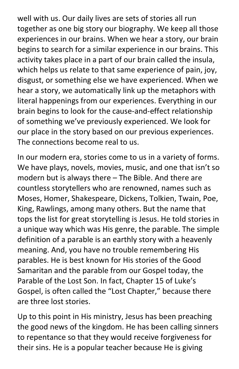well with us. Our daily lives are sets of stories all run together as one big story our biography. We keep all those experiences in our brains. When we hear a story, our brain begins to search for a similar experience in our brains. This activity takes place in a part of our brain called the insula, which helps us relate to that same experience of pain, joy, disgust, or something else we have experienced. When we hear a story, we automatically link up the metaphors with literal happenings from our experiences. Everything in our brain begins to look for the cause-and-effect relationship of something we've previously experienced. We look for our place in the story based on our previous experiences. The connections become real to us.

In our modern era, stories come to us in a variety of forms. We have plays, novels, movies, music, and one that isn't so modern but is always there – The Bible. And there are countless storytellers who are renowned, names such as Moses, Homer, Shakespeare, Dickens, Tolkien, Twain, Poe, King, Rawlings, among many others. But the name that tops the list for great storytelling is Jesus. He told stories in a unique way which was His genre, the parable. The simple definition of a parable is an earthly story with a heavenly meaning. And, you have no trouble remembering His parables. He is best known for His stories of the Good Samaritan and the parable from our Gospel today, the Parable of the Lost Son. In fact, Chapter 15 of Luke's Gospel, is often called the "Lost Chapter," because there are three lost stories.

Up to this point in His ministry, Jesus has been preaching the good news of the kingdom. He has been calling sinners to repentance so that they would receive forgiveness for their sins. He is a popular teacher because He is giving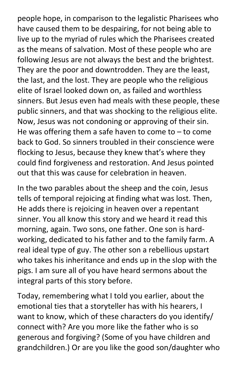people hope, in comparison to the legalistic Pharisees who have caused them to be despairing, for not being able to live up to the myriad of rules which the Pharisees created as the means of salvation. Most of these people who are following Jesus are not always the best and the brightest. They are the poor and downtrodden. They are the least, the last, and the lost. They are people who the religious elite of Israel looked down on, as failed and worthless sinners. But Jesus even had meals with these people, these public sinners, and that was shocking to the religious elite. Now, Jesus was not condoning or approving of their sin. He was offering them a safe haven to come to  $-$  to come back to God. So sinners troubled in their conscience were flocking to Jesus, because they knew that's where they could find forgiveness and restoration. And Jesus pointed out that this was cause for celebration in heaven.

In the two parables about the sheep and the coin, Jesus tells of temporal rejoicing at finding what was lost. Then, He adds there is rejoicing in heaven over a repentant sinner. You all know this story and we heard it read this morning, again. Two sons, one father. One son is hardworking, dedicated to his father and to the family farm. A real ideal type of guy. The other son a rebellious upstart who takes his inheritance and ends up in the slop with the pigs. I am sure all of you have heard sermons about the integral parts of this story before.

Today, remembering what I told you earlier, about the emotional ties that a storyteller has with his hearers, I want to know, which of these characters do you identify/ connect with? Are you more like the father who is so generous and forgiving? (Some of you have children and grandchildren.) Or are you like the good son/daughter who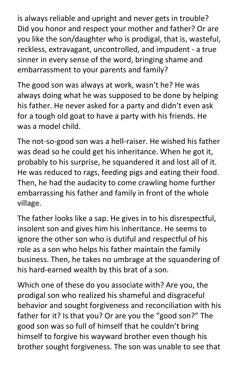is always reliable and upright and never gets in trouble? Did you honor and respect your mother and father? Or are you like the son/daughter who is prodigal, that is, wasteful, reckless, extravagant, uncontrolled, and impudent - a true sinner in every sense of the word, bringing shame and embarrassment to your parents and family?

The good son was always at work, wasn't he? He was always doing what he was supposed to be done by helping his father. He never asked for a party and didn't even ask for a tough old goat to have a party with his friends. He was a model child.

The not-so-good son was a hell-raiser. He wished his father was dead so he could get his inheritance. When he got it, probably to his surprise, he squandered it and lost all of it. He was reduced to rags, feeding pigs and eating their food. Then, he had the audacity to come crawling home further embarrassing his father and family in front of the whole village.

The father looks like a sap. He gives in to his disrespectful, insolent son and gives him his inheritance. He seems to ignore the other son who is dutiful and respectful of his role as a son who helps his father maintain the family business. Then, he takes no umbrage at the squandering of his hard-earned wealth by this brat of a son.

Which one of these do you associate with? Are you, the prodigal son who realized his shameful and disgraceful behavior and sought forgiveness and reconciliation with his father for it? Is that you? Or are you the "good son?" The good son was so full of himself that he couldn't bring himself to forgive his wayward brother even though his brother sought forgiveness. The son was unable to see that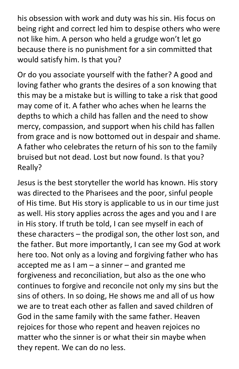his obsession with work and duty was his sin. His focus on being right and correct led him to despise others who were not like him. A person who held a grudge won't let go because there is no punishment for a sin committed that would satisfy him. Is that you?

Or do you associate yourself with the father? A good and loving father who grants the desires of a son knowing that this may be a mistake but is willing to take a risk that good may come of it. A father who aches when he learns the depths to which a child has fallen and the need to show mercy, compassion, and support when his child has fallen from grace and is now bottomed out in despair and shame. A father who celebrates the return of his son to the family bruised but not dead. Lost but now found. Is that you? Really?

Jesus is the best storyteller the world has known. His story was directed to the Pharisees and the poor, sinful people of His time. But His story is applicable to us in our time just as well. His story applies across the ages and you and I are in His story. If truth be told, I can see myself in each of these characters – the prodigal son, the other lost son, and the father. But more importantly, I can see my God at work here too. Not only as a loving and forgiving father who has accepted me as  $I$  am  $-$  a sinner  $-$  and granted me forgiveness and reconciliation, but also as the one who continues to forgive and reconcile not only my sins but the sins of others. In so doing, He shows me and all of us how we are to treat each other as fallen and saved children of God in the same family with the same father. Heaven rejoices for those who repent and heaven rejoices no matter who the sinner is or what their sin maybe when they repent. We can do no less.